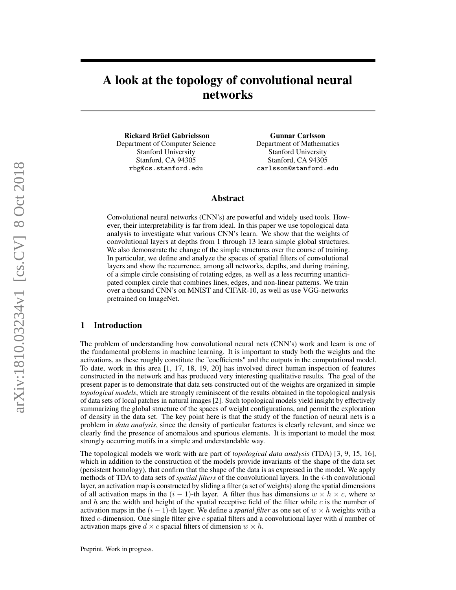# A look at the topology of convolutional neural networks

Rickard Brüel Gabrielsson Department of Computer Science Stanford University Stanford, CA 94305 rbg@cs.stanford.edu

Gunnar Carlsson Department of Mathematics Stanford University Stanford, CA 94305 carlsson@stanford.edu

#### Abstract

Convolutional neural networks (CNN's) are powerful and widely used tools. However, their interpretability is far from ideal. In this paper we use topological data analysis to investigate what various CNN's learn. We show that the weights of convolutional layers at depths from 1 through 13 learn simple global structures. We also demonstrate the change of the simple structures over the course of training. In particular, we define and analyze the spaces of spatial filters of convolutional layers and show the recurrence, among all networks, depths, and during training, of a simple circle consisting of rotating edges, as well as a less recurring unanticipated complex circle that combines lines, edges, and non-linear patterns. We train over a thousand CNN's on MNIST and CIFAR-10, as well as use VGG-networks pretrained on ImageNet.

## 1 Introduction

The problem of understanding how convolutional neural nets (CNN's) work and learn is one of the fundamental problems in machine learning. It is important to study both the weights and the activations, as these roughly constitute the "coefficients" and the outputs in the computational model. To date, work in this area [1, 17, 18, 19, 20] has involved direct human inspection of features constructed in the network and has produced very interesting qualitative results. The goal of the present paper is to demonstrate that data sets constructed out of the weights are organized in simple *topological models*, which are strongly reminiscent of the results obtained in the topological analysis of data sets of local patches in natural images [2]. Such topological models yield insight by effectively summarizing the global structure of the spaces of weight configurations, and permit the exploration of density in the data set. The key point here is that the study of the function of neural nets is a problem in *data analysis*, since the density of particular features is clearly relevant, and since we clearly find the presence of anomalous and spurious elements. It is important to model the most strongly occurring motifs in a simple and understandable way.

The topological models we work with are part of *topological data analysis* (TDA) [3, 9, 15, 16], which in addition to the construction of the models provide invariants of the shape of the data set (persistent homology), that confirm that the shape of the data is as expressed in the model. We apply methods of TDA to data sets of *spatial filters* of the convolutional layers. In the i-th convolutional layer, an activation map is constructed by sliding a filter (a set of weights) along the spatial dimensions of all activation maps in the  $(i - 1)$ -th layer. A filter thus has dimensions  $w \times h \times c$ , where w and h are the width and height of the spatial receptive field of the filter while c is the number of activation maps in the  $(i - 1)$ -th layer. We define a *spatial filter* as one set of  $w \times h$  weights with a fixed c-dimension. One single filter give c spatial filters and a convolutional layer with d number of activation maps give  $d \times c$  spacial filters of dimension  $w \times h$ .

Preprint. Work in progress.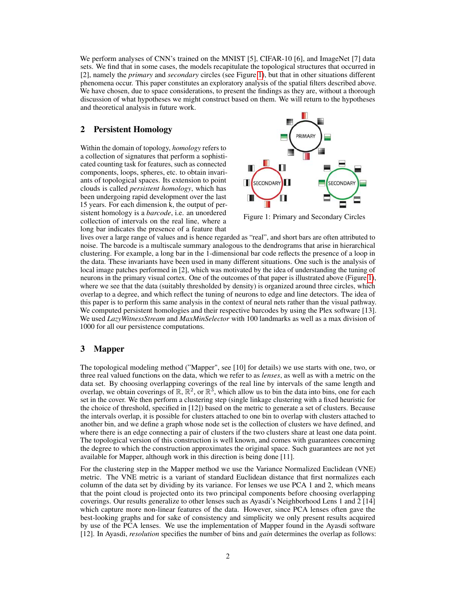We perform analyses of CNN's trained on the MNIST [5], CIFAR-10 [6], and ImageNet [7] data sets. We find that in some cases, the models recapitulate the topological structures that occurred in [2], namely the *primary* and *secondary* circles (see Figure [1\)](#page-1-0), but that in other situations different phenomena occur. This paper constitutes an exploratory analysis of the spatial filters described above. We have chosen, due to space considerations, to present the findings as they are, without a thorough discussion of what hypotheses we might construct based on them. We will return to the hypotheses and theoretical analysis in future work.

### 2 Persistent Homology

Within the domain of topology, *homology* refers to a collection of signatures that perform a sophisticated counting task for features, such as connected components, loops, spheres, etc. to obtain invariants of topological spaces. Its extension to point clouds is called *persistent homology*, which has been undergoing rapid development over the last 15 years. For each dimension k, the output of persistent homology is a *barcode*, i.e. an unordered collection of intervals on the real line, where a long bar indicates the presence of a feature that

<span id="page-1-0"></span>

Figure 1: Primary and Secondary Circles

lives over a large range of values and is hence regarded as "real", and short bars are often attributed to noise. The barcode is a multiscale summary analogous to the dendrograms that arise in hierarchical clustering. For example, a long bar in the 1-dimensional bar code reflects the presence of a loop in the data. These invariants have been used in many different situations. One such is the analysis of local image patches performed in [2], which was motivated by the idea of understanding the tuning of neurons in the primary visual cortex. One of the outcomes of that paper is illustrated above (Figure [1\)](#page-1-0), where we see that the data (suitably thresholded by density) is organized around three circles, which overlap to a degree, and which reflect the tuning of neurons to edge and line detectors. The idea of this paper is to perform this same analysis in the context of neural nets rather than the visual pathway. We computed persistent homologies and their respective barcodes by using the Plex software [13]. We used *LazyWitnessStream* and *MaxMinSelector* with 100 landmarks as well as a max division of 1000 for all our persistence computations.

## 3 Mapper

The topological modeling method ("Mapper", see [10] for details) we use starts with one, two, or three real valued functions on the data, which we refer to as *lenses*, as well as with a metric on the data set. By choosing overlapping coverings of the real line by intervals of the same length and overlap, we obtain coverings of  $\mathbb{R}, \mathbb{R}^2$ , or  $\mathbb{R}^3$ , which allow us to bin the data into bins, one for each set in the cover. We then perform a clustering step (single linkage clustering with a fixed heuristic for the choice of threshold, specified in [12]) based on the metric to generate a set of clusters. Because the intervals overlap, it is possible for clusters attached to one bin to overlap with clusters attached to another bin, and we define a graph whose node set is the collection of clusters we have defined, and where there is an edge connecting a pair of clusters if the two clusters share at least one data point. The topological version of this construction is well known, and comes with guarantees concerning the degree to which the construction approximates the original space. Such guarantees are not yet available for Mapper, although work in this direction is being done [11].

For the clustering step in the Mapper method we use the Variance Normalized Euclidean (VNE) metric. The VNE metric is a variant of standard Euclidean distance that first normalizes each column of the data set by dividing by its variance. For lenses we use PCA 1 and 2, which means that the point cloud is projected onto its two principal components before choosing overlapping coverings. Our results generalize to other lenses such as Ayasdi's Neighborhood Lens 1 and 2 [14] which capture more non-linear features of the data. However, since PCA lenses often gave the best-looking graphs and for sake of consistency and simplicity we only present results acquired by use of the PCA lenses. We use the implementation of Mapper found in the Ayasdi software [12]. In Ayasdi, *resolution* specifies the number of bins and *gain* determines the overlap as follows: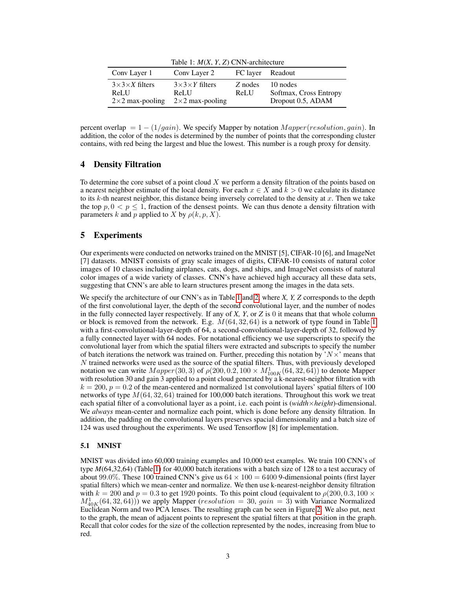<span id="page-2-0"></span>

| Table 1: $M(X, Y, Z)$ CNN-architecture                        |                                                               |                  |                                                         |  |  |  |
|---------------------------------------------------------------|---------------------------------------------------------------|------------------|---------------------------------------------------------|--|--|--|
| Conv Layer 1                                                  | Conv Layer 2                                                  | FC layer Readout |                                                         |  |  |  |
| $3\times3\times X$ filters<br>ReLU<br>$2\times 2$ max-pooling | $3\times3\times Y$ filters<br>ReLU<br>$2\times 2$ max-pooling | Z nodes<br>ReLU  | 10 nodes<br>Softmax, Cross Entropy<br>Dropout 0.5, ADAM |  |  |  |

percent overlap =  $1 - (1/gain)$ . We specify Mapper by notation  $Mapper(resolution, gain)$ . In addition, the color of the nodes is determined by the number of points that the corresponding cluster contains, with red being the largest and blue the lowest. This number is a rough proxy for density.

## 4 Density Filtration

To determine the core subset of a point cloud  $X$  we perform a density filtration of the points based on a nearest neighbor estimate of the local density. For each  $x \in X$  and  $k > 0$  we calculate its distance to its k-th nearest neighbor, this distance being inversely correlated to the density at x. Then we take the top  $p, 0 < p \leq 1$ , fraction of the densest points. We can thus denote a density filtration with parameters k and p applied to X by  $\rho(k, p, X)$ .

## 5 Experiments

Our experiments were conducted on networks trained on the MNIST [5], CIFAR-10 [6], and ImageNet [7] datasets. MNIST consists of gray scale images of digits, CIFAR-10 consists of natural color images of 10 classes including airplanes, cats, dogs, and ships, and ImageNet consists of natural color images of a wide variety of classes. CNN's have achieved high accuracy all these data sets, suggesting that CNN's are able to learn structures present among the images in the data sets.

We specify the architecture of our CNN's as in Table [1](#page-2-0) and [2,](#page-3-0) where *X, Y, Z* corresponds to the depth of the first convolutional layer, the depth of the second convolutional layer, and the number of nodes in the fully connected layer respectively. If any of *X, Y*, or *Z* is 0 it means that that whole column or block is removed from the network. E.g.  $M(64, 32, 64)$  is a network of type found in Table [1](#page-2-0) with a first-convolutional-layer-depth of 64, a second-convolutional-layer-depth of 32, followed by a fully connected layer with 64 nodes. For notational efficiency we use superscripts to specify the convolutional layer from which the spatial filters were extracted and subscripts to specify the number of batch iterations the network was trained on. Further, preceding this notation by  $N \times$  means that N trained networks were used as the source of the spatial filters. Thus, with previously developed notation we can write  $Mapper(30, 3)$  of  $\rho(200, 0.2, 100 \times M_{100K}^1(64, 32, 64))$  to denote Mapper with resolution 30 and gain 3 applied to a point cloud generated by a k-nearest-neighbor filtration with  $k = 200$ ,  $p = 0.2$  of the mean-centered and normalized 1st convolutional layers' spatial filters of 100 networks of type  $M(64, 32, 64)$  trained for 100,000 batch iterations. Throughout this work we treat each spatial filter of a convolutional layer as a point, i.e. each point is (*width*×*height*)-dimensional. We *always* mean-center and normalize each point, which is done before any density filtration. In addition, the padding on the convolutional layers preserves spacial dimensionality and a batch size of 124 was used throughout the experiments. We used Tensorflow [8] for implementation.

#### 5.1 MNIST

MNIST was divided into 60,000 training examples and 10,000 test examples. We train 100 CNN's of type *M*(64,32,64) (Table [1\)](#page-2-0) for 40,000 batch iterations with a batch size of 128 to a test accuracy of about 99.0%. These 100 trained CNN's give us  $64 \times 100 = 6400$  9-dimensional points (first layer spatial filters) which we mean-center and normalize. We then use k-nearest-neighbor density filtration with  $k = 200$  and  $p = 0.3$  to get 1920 points. To this point cloud (equivalent to  $\rho(200, 0.3, 100 \times$  $M_{40K}^1(64, 32, 64))$  we apply Mapper (*resolution* = 30,  $gain = 3$ ) with Variance Normalized Euclidean Norm and two PCA lenses. The resulting graph can be seen in Figure [2.](#page-3-1) We also put, next to the graph, the mean of adjacent points to represent the spatial filters at that position in the graph. Recall that color codes for the size of the collection represented by the nodes, increasing from blue to red.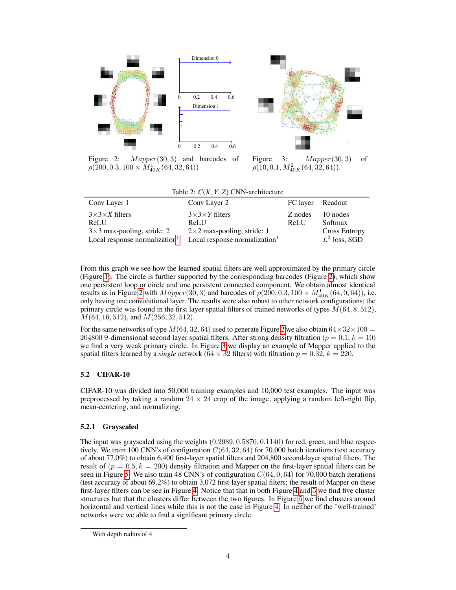<span id="page-3-1"></span>

Figure 2:  $Mapper(30, 3)$  and barcodes of  $\rho(\v{200},0.3,100\times \overline{M^1_{40K}}(64,32,64))$ 

Figure 3:  $Mapper(30, 3)$  of  $\rho (\bar{1}0, 0.1, M_{40K}^2(64, \bar{32}, 64)).$ 

|  |  |  | Table 2: $C(X, Y, Z)$ CNN-architecture |
|--|--|--|----------------------------------------|
|--|--|--|----------------------------------------|

<span id="page-3-0"></span>

| Conv Layer 1                                                                                                | Conv Layer 2                                                                                                 |                 | FC layer Readout                                               |
|-------------------------------------------------------------------------------------------------------------|--------------------------------------------------------------------------------------------------------------|-----------------|----------------------------------------------------------------|
| $3\times3\times X$ filters<br>ReLU<br>$3\times3$ max-pooling, stride: 2<br>Local response normalization $1$ | $3\times3\times Y$ filters<br>ReLU<br>$2\times 2$ max-pooling, stride: 1<br>Local response normalization $1$ | Z nodes<br>ReLU | 10 nodes<br>Softmax<br><b>Cross Entropy</b><br>$L^2$ loss, SGD |

From this graph we see how the learned spatial filters are well approximated by the primary circle (Figure [1\)](#page-1-0). The circle is further supported by the corresponding barcodes (Figure [2\)](#page-3-1), which show one persistent loop or circle and one persistent connected component. We obtain almost identical results as in Figure [2](#page-3-1) with  $Mapper(30, 3)$  and barcodes of  $\rho(200, 0.3, 100 \times M_{40K}^1(64, 0, 64))$ , i.e. only having one convolutional layer. The results were also robust to other network configurations; the primary circle was found in the first layer spatial filters of trained networks of types  $M(64, 8, 512)$ ,  $M(64, 16, 512)$ , and  $M(256, 32, 512)$ .

For the same networks of type  $M(64, 32, 64)$  used to generate Figure [2](#page-3-1) we also obtain  $64 \times 32 \times 100 =$ 204800 9-dimensional second layer spatial filters. After strong density filtration ( $p = 0.1, k = 10$ ) we find a very weak primary circle. In Figure [3](#page-3-1) we display an example of Mapper applied to the spatial filters learned by a *single* network  $(64 \times 32$  filters) with filtration  $p = 0.32$ ,  $k = 220$ .

## 5.2 CIFAR-10

CIFAR-10 was divided into 50,000 training examples and 10,000 test examples. The input was preprocessed by taking a random  $24 \times 24$  crop of the image, applying a random left-right flip, mean-centering, and normalizing.

#### 5.2.1 Grayscaled

The input was grayscaled using the weights (0.2989, 0.5870, 0.1140) for red, green, and blue respectively. We train 100 CNN's of configuration  $C(64, 32, 64)$  for 70,000 batch iterations (test accuracy of about 77.0%) to obtain 6,400 first-layer spatial filters and 204,800 second-layer spatial filters. The result of  $(p = 0.5, k = 200)$  density filtration and Mapper on the first-layer spatial filters can be seen in Figure [5.](#page-4-0) We also train 48 CNN's of configuration  $C(64, 0, 64)$  for 70,000 batch iterations (test accuracy of about 69.2%) to obtain 3,072 first-layer spatial filters; the result of Mapper on these first-layer filters can be see in Figure [4.](#page-4-0) Notice that that in both Figure [4](#page-4-0) and [5](#page-4-0) we find five cluster structures but that the clusters differ between the two figures. In Figure [5](#page-4-0) we find clusters around horizontal and vertical lines while this is not the case in Figure [4](#page-4-0). In neither of the 'well-trained' networks were we able to find a significant primary circle.

<span id="page-3-2"></span><sup>&</sup>lt;sup>1</sup>With depth radius of 4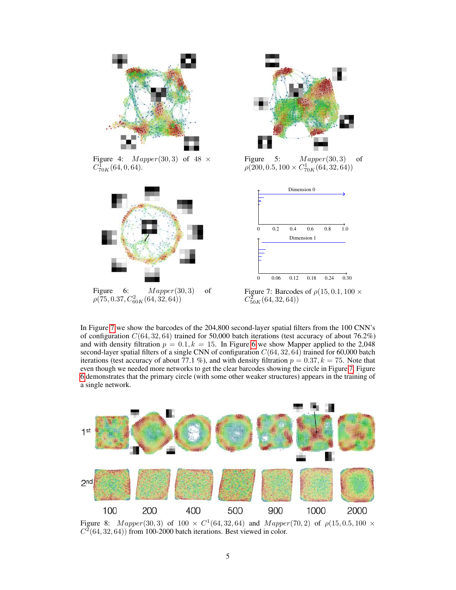<span id="page-4-0"></span>

Figure 4:  $Mapper(30, 3)$  of 48  $\times$  $C_{70K}^{\bar{\mathbf{1}}}(64,0,64).$ 

<span id="page-4-1"></span>

Figure 6:  $Mapper(30, 3)$  of  $\rho(\overline{7}5,0.37,C_{60K}^2(64,32,64))$ 



Figure 5:  $Mapper(30, 3)$  of  $\rho(\tilde{2}00, 0.5, 100 \times C_{70K}^1(64, 32, 64))$ 



Figure 7: Barcodes of  $\rho(15, 0.1, 100 \times$  $C_{50K}^2(64,32,64))$ 

In Figure [7](#page-4-1) we show the barcodes of the 204,800 second-layer spatial filters from the 100 CNN's of configuration  $C(64, 32, 64)$  trained for 50,000 batch iterations (test accuracy of about 76.2%) and with density filtration  $p = 0.1, k = 15$ . In Figure [6](#page-4-1) we show Mapper applied to the 2,048 second-layer spatial filters of a single CNN of configuration  $C(64, 32, 64)$  trained for 60,000 batch iterations (test accuracy of about 77.1 %), and with density filtration  $p = 0.37, k = 75$ . Note that even though we needed more networks to get the clear barcodes showing the circle in Figure [7,](#page-4-1) Figure [6](#page-4-1) demonstrates that the primary circle (with some other weaker structures) appears in the training of a single network.

<span id="page-4-2"></span>

Figure 8:  $Mapper(30, 3)$  of  $100 \times C^{1}(64, 32, 64)$  and  $Mapper(70, 2)$  of  $\rho(15, 0.5, 100 \times$  $C<sup>2</sup>(64, 32, 64)$  from 100-2000 batch iterations. Best viewed in color.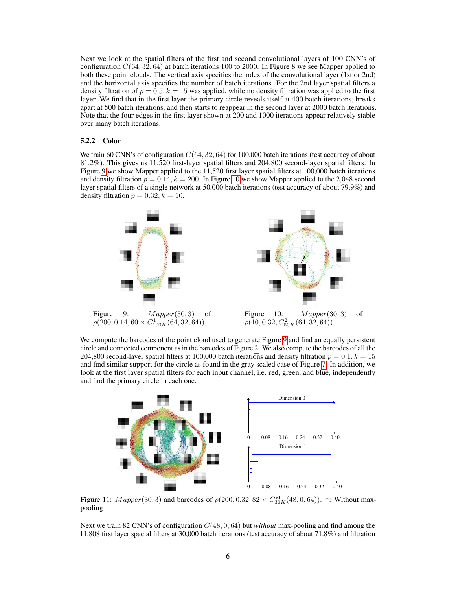Next we look at the spatial filters of the first and second convolutional layers of 100 CNN's of configuration  $C(64, 32, 64)$  at batch iterations 100 to 2000. In Figure [8](#page-4-2) we see Mapper applied to both these point clouds. The vertical axis specifies the index of the convolutional layer (1st or 2nd) and the horizontal axis specifies the number of batch iterations. For the 2nd layer spatial filters a density filtration of  $p = 0.5, k = 15$  was applied, while no density filtration was applied to the first layer. We find that in the first layer the primary circle reveals itself at 400 batch iterations, breaks apart at 500 batch iterations, and then starts to reappear in the second layer at 2000 batch iterations. Note that the four edges in the first layer shown at 200 and 1000 iterations appear relatively stable over many batch iterations.

#### 5.2.2 Color

We train 60 CNN's of configuration  $C(64, 32, 64)$  for 100,000 batch iterations (test accuracy of about 81.2%). This gives us 11,520 first-layer spatial filters and 204,800 second-layer spatial filters. In Figure [9](#page-5-0) we show Mapper applied to the 11,520 first layer spatial filters at 100,000 batch iterations and density filtration  $p = 0.14$ ,  $k = 200$ . In Figure [10](#page-5-0) we show Mapper applied to the 2,048 second layer spatial filters of a single network at 50,000 batch iterations (test accuracy of about 79.9%) and density filtration  $p = 0.32, k = 10$ .

<span id="page-5-0"></span>

We compute the barcodes of the point cloud used to generate Figure [9](#page-5-0) and find an equally persistent circle and connected component as in the barcodes of Figure [2.](#page-3-1) We also compute the barcodes of all the 204,800 second-layer spatial filters at 100,000 batch iterations and density filtration  $p = 0.1, k = 15$ and find similar support for the circle as found in the gray scaled case of Figure [7.](#page-4-1) In addition, we look at the first layer spatial filters for each input channel, i.e. red, green, and blue, independently and find the primary circle in each one.

<span id="page-5-1"></span>

Figure 11:  $Mapper(30, 3)$  and barcodes of  $\rho(200, 0.32, 82 \times C_{30K}^{*1}(48, 0, 64))$ . \*: Without maxpooling

Next we train 82 CNN's of configuration C(48, 0, 64) but *without* max-pooling and find among the 11,808 first layer spacial filters at 30,000 batch iterations (test accuracy of about 71.8%) and filtration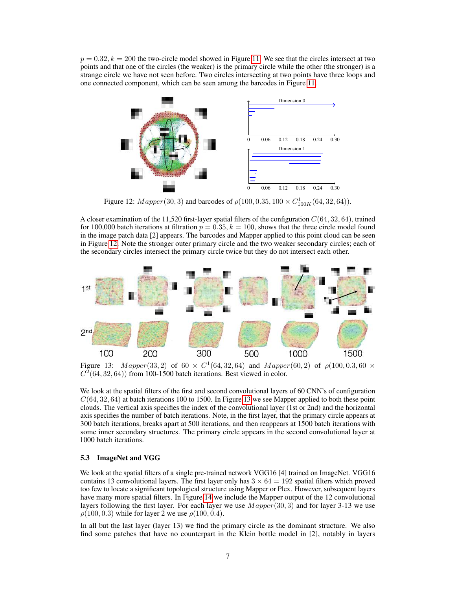$p = 0.32, k = 200$  the two-circle model showed in Figure [11.](#page-5-1) We see that the circles intersect at two points and that one of the circles (the weaker) is the primary circle while the other (the stronger) is a strange circle we have not seen before. Two circles intersecting at two points have three loops and one connected component, which can be seen among the barcodes in Figure [11.](#page-5-1)

<span id="page-6-0"></span>

Figure 12:  $Mapper(30, 3)$  and barcodes of  $\rho(100, 0.35, 100 \times C_{100K}^1(64, 32, 64)).$ 

A closer examination of the 11,520 first-layer spatial filters of the configuration  $C(64, 32, 64)$ , trained for 100,000 batch iterations at filtration  $p = 0.35, k = 100$ , shows that the three circle model found in the image patch data [2] appears. The barcodes and Mapper applied to this point cloud can be seen in Figure [12.](#page-6-0) Note the stronger outer primary circle and the two weaker secondary circles; each of the secondary circles intersect the primary circle twice but they do not intersect each other.

<span id="page-6-1"></span>

Figure 13:  $Mapper(33, 2)$  of  $60 \times C^{1}(64, 32, 64)$  and  $Mapper(60, 2)$  of  $\rho(100, 0.3, 60 \times C^{1}(64, 32, 64))$  $C<sup>2</sup>(64, 32, 64)$  from 100-1500 batch iterations. Best viewed in color.

We look at the spatial filters of the first and second convolutional layers of 60 CNN's of configuration  $C(64, 32, 64)$  at batch iterations 100 to 1500. In Figure [13](#page-6-1) we see Mapper applied to both these point clouds. The vertical axis specifies the index of the convolutional layer (1st or 2nd) and the horizontal axis specifies the number of batch iterations. Note, in the first layer, that the primary circle appears at 300 batch iterations, breaks apart at 500 iterations, and then reappears at 1500 batch iterations with some inner secondary structures. The primary circle appears in the second convolutional layer at 1000 batch iterations.

#### 5.3 ImageNet and VGG

We look at the spatial filters of a single pre-trained network VGG16 [4] trained on ImageNet. VGG16 contains 13 convolutional layers. The first layer only has  $3 \times 64 = 192$  spatial filters which proved too few to locate a significant topological structure using Mapper or Plex. However, subsequent layers have many more spatial filters. In Figure [14](#page-7-0) we include the Mapper output of the 12 convolutional layers following the first layer. For each layer we use  $Mapper(30, 3)$  and for layer 3-13 we use  $\rho(100, 0.3)$  while for layer 2 we use  $\rho(100, 0.4)$ .

In all but the last layer (layer 13) we find the primary circle as the dominant structure. We also find some patches that have no counterpart in the Klein bottle model in [2], notably in layers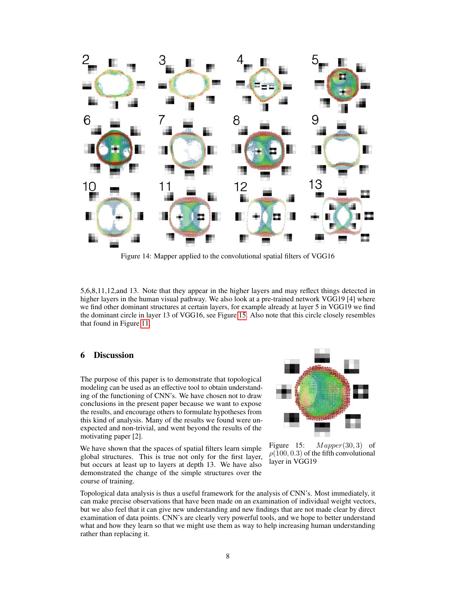<span id="page-7-0"></span>

Figure 14: Mapper applied to the convolutional spatial filters of VGG16

5,6,8,11,12,and 13. Note that they appear in the higher layers and may reflect things detected in higher layers in the human visual pathway. We also look at a pre-trained network VGG19 [4] where we find other dominant structures at certain layers, for example already at layer 5 in VGG19 we find the dominant circle in layer 13 of VGG16, see Figure [15.](#page-7-1) Also note that this circle closely resembles that found in Figure [11.](#page-5-1)

#### 6 Discussion

The purpose of this paper is to demonstrate that topological modeling can be used as an effective tool to obtain understanding of the functioning of CNN's. We have chosen not to draw conclusions in the present paper because we want to expose the results, and encourage others to formulate hypotheses from this kind of analysis. Many of the results we found were unexpected and non-trivial, and went beyond the results of the motivating paper [2].

We have shown that the spaces of spatial filters learn simple global structures. This is true not only for the first layer, but occurs at least up to layers at depth 13. We have also demonstrated the change of the simple structures over the course of training.

<span id="page-7-1"></span>

Figure 15:  $Mapper(30, 3)$  of  $\rho(100, 0.3)$  of the fifth convolutional layer in VGG19

Topological data analysis is thus a useful framework for the analysis of CNN's. Most immediately, it can make precise observations that have been made on an examination of individual weight vectors, but we also feel that it can give new understanding and new findings that are not made clear by direct examination of data points. CNN's are clearly very powerful tools, and we hope to better understand what and how they learn so that we might use them as way to help increasing human understanding rather than replacing it.